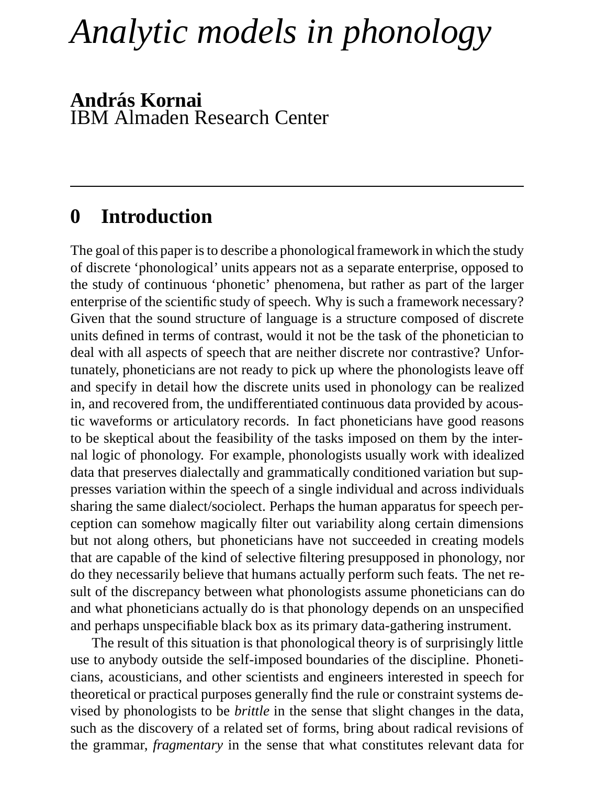# *Analytic models in phonology*

**András Kornai<br>IBM Almaden Research Center** 

### **0 Introduction**

The goal of this paper is to describe a phonological framework in which the study of discrete 'phonological' units appears not as a separate enterprise, opposed to the study of continuous 'phonetic' phenomena, but rather as part of the larger enterprise of the scientific study of speech. Why is such a framework necessary? Given that the sound structure of language is a structure composed of discrete units defined in terms of contrast, would it not be the task of the phonetician to deal with all aspects of speech that are neither discrete nor contrastive? Unfortunately, phoneticians are not ready to pick up where the phonologists leave off and specify in detail how the discrete units used in phonology can be realized in, and recovered from, the undifferentiated continuous data provided by acoustic waveforms or articulatory records. In fact phoneticians have good reasons to be skeptical about the feasibility of the tasks imposed on them by the internal logic of phonology. For example, phonologists usually work with idealized data that preserves dialectally and grammatically conditioned variation but suppresses variation within the speech of a single individual and across individuals sharing the same dialect/sociolect. Perhaps the human apparatus for speech perception can somehow magically filter out variability along certain dimensions but not along others, but phoneticians have not succeeded in creating models that are capable of the kind of selective filtering presupposed in phonology, nor do they necessarily believe that humans actually perform such feats. The net result of the discrepancy between what phonologists assume phoneticians can do and what phoneticians actually do is that phonology depends on an unspecified and perhaps unspecifiable black box as its primary data-gathering instrument.

The result of this situation is that phonological theory is of surprisingly little use to anybody outside the self-imposed boundaries of the discipline. Phoneticians, acousticians, and other scientists and engineers interested in speech for theoretical or practical purposes generally find the rule or constraint systems devised by phonologists to be *brittle* in the sense that slight changes in the data, such as the discovery of a related set of forms, bring about radical revisions of the grammar, *fragmentary* in the sense that what constitutes relevant data for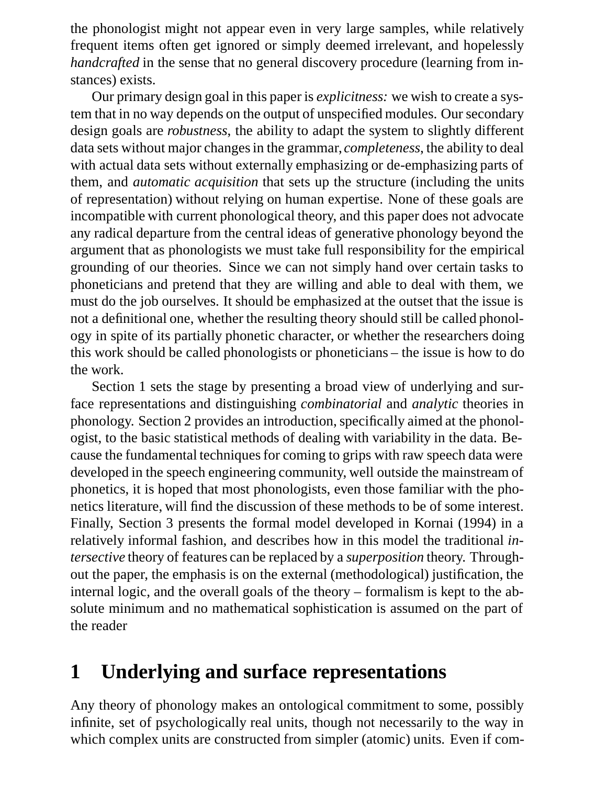the phonologist might not appear even in very large samples, while relatively frequent items often get ignored or simply deemed irrelevant, and hopelessly *handcrafted* in the sense that no general discovery procedure (learning from instances) exists.

Our primary design goal in this paper is *explicitness:* we wish to create a system that in no way depends on the output of unspecified modules. Our secondary design goals are *robustness*, the ability to adapt the system to slightly different data sets without major changes in the grammar, *completeness*, the ability to deal with actual data sets without externally emphasizing or de-emphasizing parts of them, and *automatic acquisition* that sets up the structure (including the units of representation) without relying on human expertise. None of these goals are incompatible with current phonological theory, and this paper does not advocate any radical departure from the central ideas of generative phonology beyond the argument that as phonologists we must take full responsibility for the empirical grounding of our theories. Since we can not simply hand over certain tasks to phoneticians and pretend that they are willing and able to deal with them, we must do the job ourselves. It should be emphasized at the outset that the issue is not a definitional one, whether the resulting theory should still be called phonology in spite of its partially phonetic character, or whether the researchers doing this work should be called phonologists or phoneticians – the issue is how to do the work.

Section 1 sets the stage by presenting a broad view of underlying and surface representations and distinguishing *combinatorial* and *analytic* theories in phonology. Section 2 provides an introduction, specifically aimed at the phonologist, to the basic statistical methods of dealing with variability in the data. Because the fundamental techniques for coming to grips with raw speech data were developed in the speech engineering community, well outside the mainstream of phonetics, it is hoped that most phonologists, even those familiar with the phonetics literature, will find the discussion of these methods to be of some interest. Finally, Section 3 presents the formal model developed in Kornai (1994) in a relatively informal fashion, and describes how in this model the traditional *intersective* theory of features can be replaced by a *superposition* theory. Throughout the paper, the emphasis is on the external (methodological) justification, the internal logic, and the overall goals of the theory – formalism is kept to the absolute minimum and no mathematical sophistication is assumed on the part of the reader

# **1 Underlying and surface representations**

Any theory of phonology makes an ontological commitment to some, possibly infinite, set of psychologically real units, though not necessarily to the way in which complex units are constructed from simpler (atomic) units. Even if com-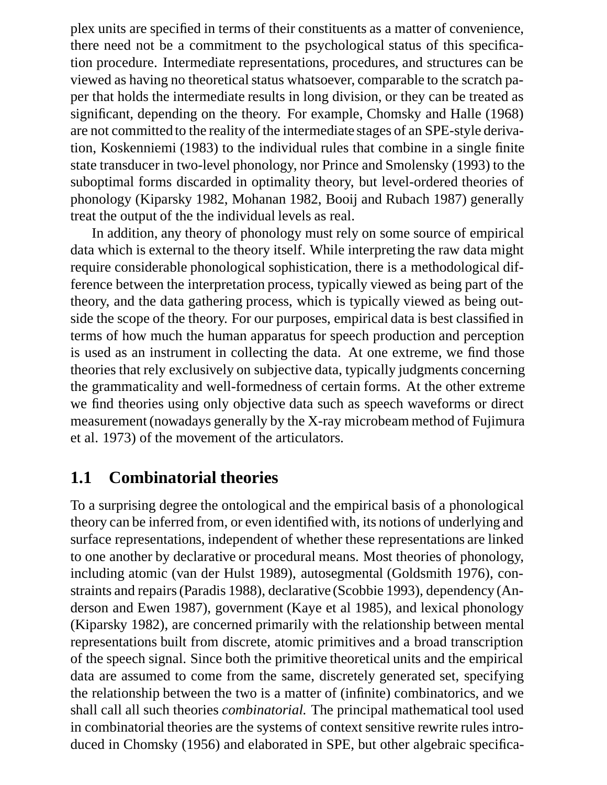plex units are specified in terms of their constituents as a matter of convenience, there need not be a commitment to the psychological status of this specification procedure. Intermediate representations, procedures, and structures can be viewed as having no theoretical status whatsoever, comparable to the scratch paper that holds the intermediate results in long division, or they can be treated as significant, depending on the theory. For example, Chomsky and Halle (1968) are not committed to the reality of the intermediate stages of an SPE-style derivation, Koskenniemi (1983) to the individual rules that combine in a single finite state transducer in two-level phonology, nor Prince and Smolensky (1993) to the suboptimal forms discarded in optimality theory, but level-ordered theories of phonology (Kiparsky 1982, Mohanan 1982, Booij and Rubach 1987) generally treat the output of the the individual levels as real.

In addition, any theory of phonology must rely on some source of empirical data which is external to the theory itself. While interpreting the raw data might require considerable phonological sophistication, there is a methodological difference between the interpretation process, typically viewed as being part of the theory, and the data gathering process, which is typically viewed as being outside the scope of the theory. For our purposes, empirical data is best classified in terms of how much the human apparatus for speech production and perception is used as an instrument in collecting the data. At one extreme, we find those theories that rely exclusively on subjective data, typically judgments concerning the grammaticality and well-formedness of certain forms. At the other extreme we find theories using only objective data such as speech waveforms or direct measurement (nowadays generally by the X-ray microbeam method of Fujimura et al. 1973) of the movement of the articulators.

### **1.1 Combinatorial theories**

To a surprising degree the ontological and the empirical basis of a phonological theory can be inferred from, or even identified with, its notions of underlying and surface representations, independent of whether these representations are linked to one another by declarative or procedural means. Most theories of phonology, including atomic (van der Hulst 1989), autosegmental (Goldsmith 1976), constraints and repairs (Paradis 1988), declarative (Scobbie 1993), dependency (Anderson and Ewen 1987), government (Kaye et al 1985), and lexical phonology (Kiparsky 1982), are concerned primarily with the relationship between mental representations built from discrete, atomic primitives and a broad transcription of the speech signal. Since both the primitive theoretical units and the empirical data are assumed to come from the same, discretely generated set, specifying the relationship between the two is a matter of (infinite) combinatorics, and we shall call all such theories *combinatorial.* The principal mathematical tool used in combinatorial theories are the systems of context sensitive rewrite rules introduced in Chomsky (1956) and elaborated in SPE, but other algebraic specifica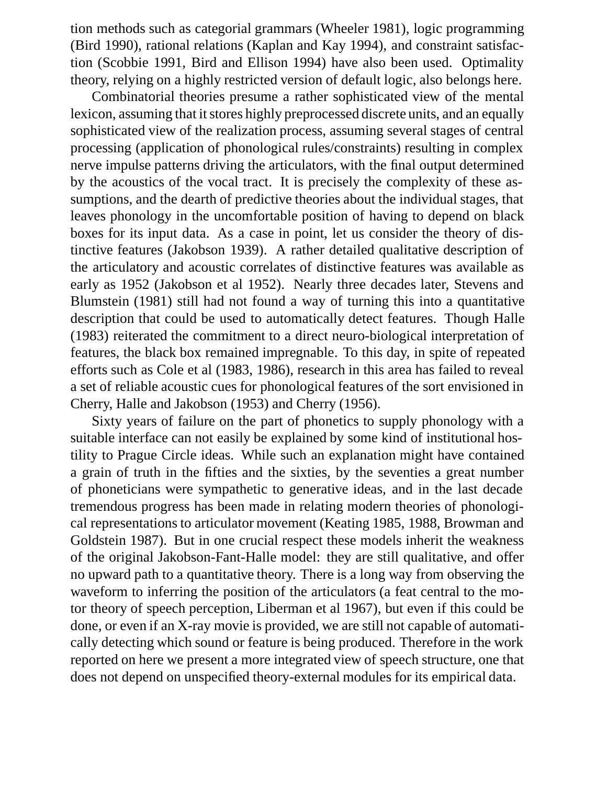tion methods such as categorial grammars (Wheeler 1981), logic programming (Bird 1990), rational relations (Kaplan and Kay 1994), and constraint satisfaction (Scobbie 1991, Bird and Ellison 1994) have also been used. Optimality theory, relying on a highly restricted version of default logic, also belongs here.

Combinatorial theories presume a rather sophisticated view of the mental lexicon, assuming that it stores highly preprocessed discrete units, and an equally sophisticated view of the realization process, assuming several stages of central processing (application of phonological rules/constraints) resulting in complex nerve impulse patterns driving the articulators, with the final output determined by the acoustics of the vocal tract. It is precisely the complexity of these assumptions, and the dearth of predictive theories about the individual stages, that leaves phonology in the uncomfortable position of having to depend on black boxes for its input data. As a case in point, let us consider the theory of distinctive features (Jakobson 1939). A rather detailed qualitative description of the articulatory and acoustic correlates of distinctive features was available as early as 1952 (Jakobson et al 1952). Nearly three decades later, Stevens and Blumstein (1981) still had not found a way of turning this into a quantitative description that could be used to automatically detect features. Though Halle (1983) reiterated the commitment to a direct neuro-biological interpretation of features, the black box remained impregnable. To this day, in spite of repeated efforts such as Cole et al (1983, 1986), research in this area has failed to reveal a set of reliable acoustic cues for phonological features of the sort envisioned in Cherry, Halle and Jakobson (1953) and Cherry (1956).

Sixty years of failure on the part of phonetics to supply phonology with a suitable interface can not easily be explained by some kind of institutional hostility to Prague Circle ideas. While such an explanation might have contained a grain of truth in the fifties and the sixties, by the seventies a great number of phoneticians were sympathetic to generative ideas, and in the last decade tremendous progress has been made in relating modern theories of phonological representations to articulator movement (Keating 1985, 1988, Browman and Goldstein 1987). But in one crucial respect these models inherit the weakness of the original Jakobson-Fant-Halle model: they are still qualitative, and offer no upward path to a quantitative theory. There is a long way from observing the waveform to inferring the position of the articulators (a feat central to the motor theory of speech perception, Liberman et al 1967), but even if this could be done, or even if an X-ray movie is provided, we are still not capable of automatically detecting which sound or feature is being produced. Therefore in the work reported on here we present a more integrated view of speech structure, one that does not depend on unspecified theory-external modules for its empirical data.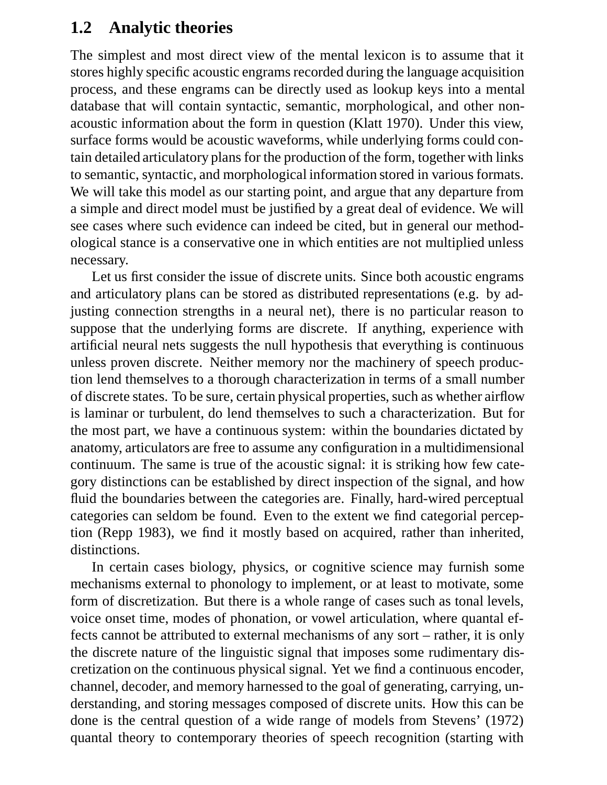#### **1.2 Analytic theories**

The simplest and most direct view of the mental lexicon is to assume that it stores highly specific acoustic engrams recorded during the language acquisition process, and these engrams can be directly used as lookup keys into a mental database that will contain syntactic, semantic, morphological, and other nonacoustic information about the form in question (Klatt 1970). Under this view, surface forms would be acoustic waveforms, while underlying forms could contain detailed articulatory plans for the production of the form, together with links to semantic, syntactic, and morphological information stored in various formats. We will take this model as our starting point, and argue that any departure from a simple and direct model must be justified by a great deal of evidence. We will see cases where such evidence can indeed be cited, but in general our methodological stance is a conservative one in which entities are not multiplied unless necessary.

Let us first consider the issue of discrete units. Since both acoustic engrams and articulatory plans can be stored as distributed representations (e.g. by adjusting connection strengths in a neural net), there is no particular reason to suppose that the underlying forms are discrete. If anything, experience with artificial neural nets suggests the null hypothesis that everything is continuous unless proven discrete. Neither memory nor the machinery of speech production lend themselves to a thorough characterization in terms of a small number of discrete states. To be sure, certain physical properties, such as whether airflow is laminar or turbulent, do lend themselves to such a characterization. But for the most part, we have a continuous system: within the boundaries dictated by anatomy, articulators are free to assume any configuration in a multidimensional continuum. The same is true of the acoustic signal: it is striking how few category distinctions can be established by direct inspection of the signal, and how fluid the boundaries between the categories are. Finally, hard-wired perceptual categories can seldom be found. Even to the extent we find categorial perception (Repp 1983), we find it mostly based on acquired, rather than inherited, distinctions.

In certain cases biology, physics, or cognitive science may furnish some mechanisms external to phonology to implement, or at least to motivate, some form of discretization. But there is a whole range of cases such as tonal levels, voice onset time, modes of phonation, or vowel articulation, where quantal effects cannot be attributed to external mechanisms of any sort – rather, it is only the discrete nature of the linguistic signal that imposes some rudimentary discretization on the continuous physical signal. Yet we find a continuous encoder, channel, decoder, and memory harnessed to the goal of generating, carrying, understanding, and storing messages composed of discrete units. How this can be done is the central question of a wide range of models from Stevens' (1972) quantal theory to contemporary theories of speech recognition (starting with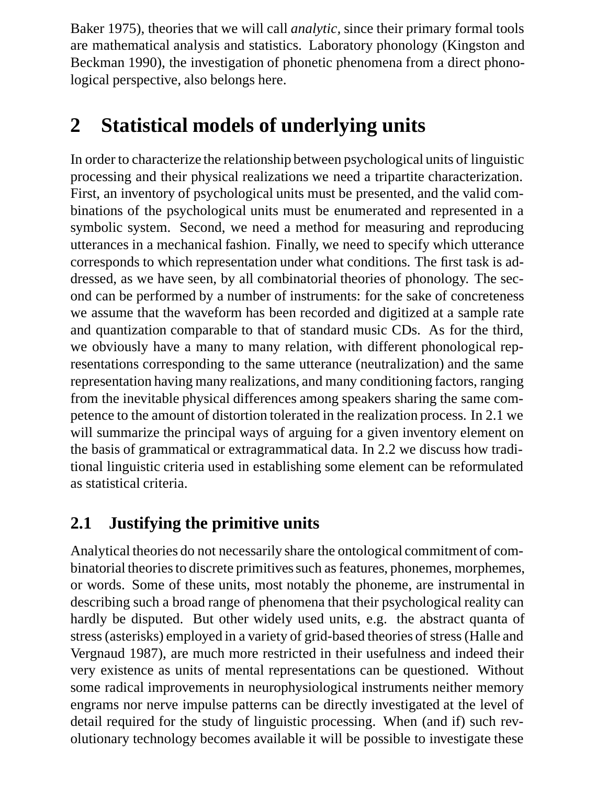Baker 1975), theories that we will call *analytic,* since their primary formal tools are mathematical analysis and statistics. Laboratory phonology (Kingston and Beckman 1990), the investigation of phonetic phenomena from a direct phonological perspective, also belongs here.

# **2 Statistical models of underlying units**

In order to characterize the relationship between psychological units of linguistic processing and their physical realizations we need a tripartite characterization. First, an inventory of psychological units must be presented, and the valid combinations of the psychological units must be enumerated and represented in a symbolic system. Second, we need a method for measuring and reproducing utterances in a mechanical fashion. Finally, we need to specify which utterance corresponds to which representation under what conditions. The first task is addressed, as we have seen, by all combinatorial theories of phonology. The second can be performed by a number of instruments: for the sake of concreteness we assume that the waveform has been recorded and digitized at a sample rate and quantization comparable to that of standard music CDs. As for the third, we obviously have a many to many relation, with different phonological representations corresponding to the same utterance (neutralization) and the same representation having many realizations, and many conditioning factors, ranging from the inevitable physical differences among speakers sharing the same competence to the amount of distortion tolerated in the realization process. In 2.1 we will summarize the principal ways of arguing for a given inventory element on the basis of grammatical or extragrammatical data. In 2.2 we discuss how traditional linguistic criteria used in establishing some element can be reformulated as statistical criteria.

### **2.1 Justifying the primitive units**

Analytical theories do not necessarily share the ontological commitment of combinatorial theories to discrete primitives such as features, phonemes, morphemes, or words. Some of these units, most notably the phoneme, are instrumental in describing such a broad range of phenomena that their psychological reality can hardly be disputed. But other widely used units, e.g. the abstract quanta of stress (asterisks) employed in a variety of grid-based theories of stress (Halle and Vergnaud 1987), are much more restricted in their usefulness and indeed their very existence as units of mental representations can be questioned. Without some radical improvements in neurophysiological instruments neither memory engrams nor nerve impulse patterns can be directly investigated at the level of detail required for the study of linguistic processing. When (and if) such revolutionary technology becomes available it will be possible to investigate these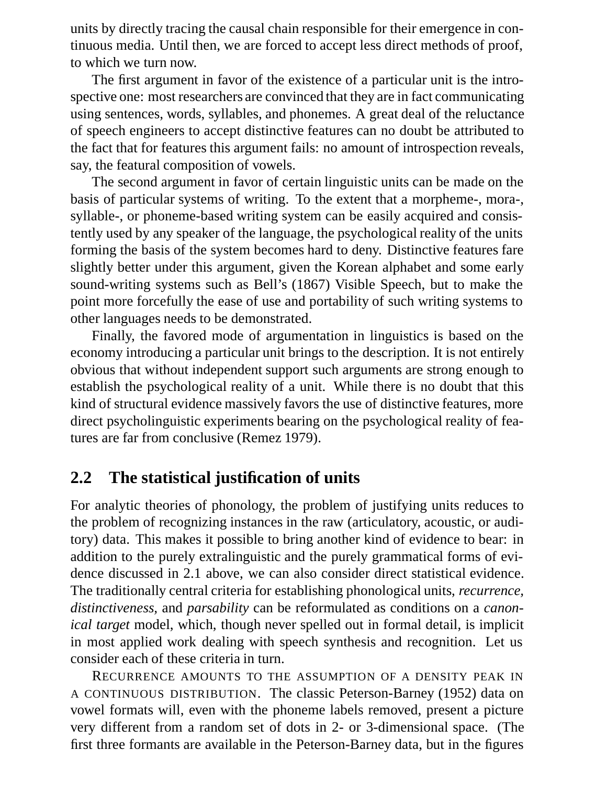units by directly tracing the causal chain responsible for their emergence in continuous media. Until then, we are forced to accept less direct methods of proof, to which we turn now.

The first argument in favor of the existence of a particular unit is the introspective one: most researchers are convinced that they are in fact communicating using sentences, words, syllables, and phonemes. A great deal of the reluctance of speech engineers to accept distinctive features can no doubt be attributed to the fact that for features this argument fails: no amount of introspection reveals, say, the featural composition of vowels.

The second argument in favor of certain linguistic units can be made on the basis of particular systems of writing. To the extent that a morpheme-, mora-, syllable-, or phoneme-based writing system can be easily acquired and consistently used by any speaker of the language, the psychological reality of the units forming the basis of the system becomes hard to deny. Distinctive features fare slightly better under this argument, given the Korean alphabet and some early sound-writing systems such as Bell's (1867) Visible Speech, but to make the point more forcefully the ease of use and portability of such writing systems to other languages needs to be demonstrated.

Finally, the favored mode of argumentation in linguistics is based on the economy introducing a particular unit brings to the description. It is not entirely obvious that without independent support such arguments are strong enough to establish the psychological reality of a unit. While there is no doubt that this kind of structural evidence massively favors the use of distinctive features, more direct psycholinguistic experiments bearing on the psychological reality of features are far from conclusive (Remez 1979).

#### **2.2 The statistical justification of units**

For analytic theories of phonology, the problem of justifying units reduces to the problem of recognizing instances in the raw (articulatory, acoustic, or auditory) data. This makes it possible to bring another kind of evidence to bear: in addition to the purely extralinguistic and the purely grammatical forms of evidence discussed in 2.1 above, we can also consider direct statistical evidence. The traditionally central criteria for establishing phonological units, *recurrence, distinctiveness,* and *parsability* can be reformulated as conditions on a *canonical target* model, which, though never spelled out in formal detail, is implicit in most applied work dealing with speech synthesis and recognition. Let us consider each of these criteria in turn.

RECURRENCE AMOUNTS TO THE ASSUMPTION OF A DENSITY PEAK IN A CONTINUOUS DISTRIBUTION. The classic Peterson-Barney (1952) data on vowel formats will, even with the phoneme labels removed, present a picture very different from a random set of dots in 2- or 3-dimensional space. (The first three formants are available in the Peterson-Barney data, but in the figures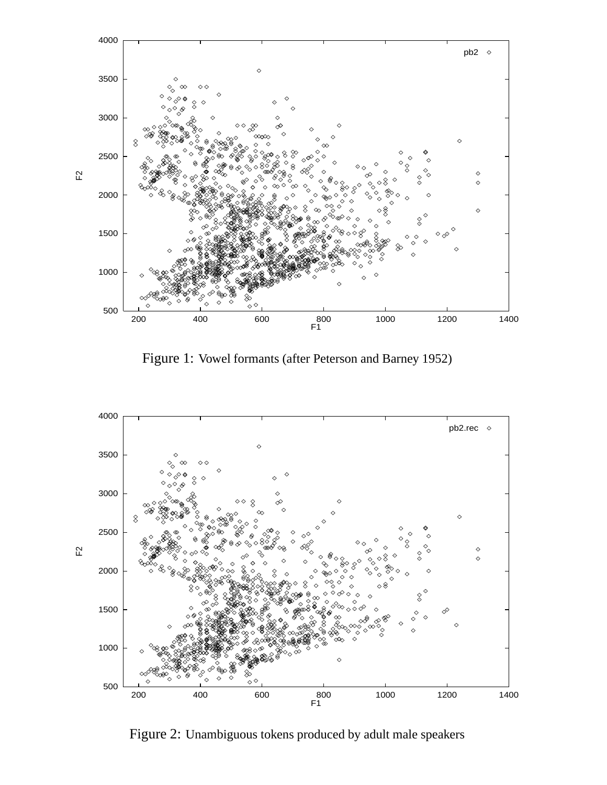

Figure 1: Vowel formants (after Peterson and Barney 1952)



Figure 2: Unambiguous tokens produced by adult male speakers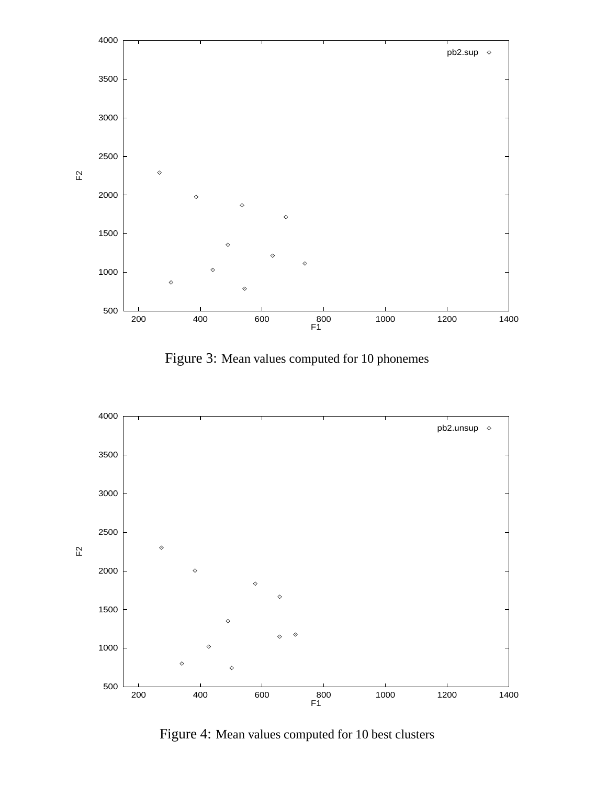

Figure 3: Mean values computed for 10 phonemes



Figure 4: Mean values computed for 10 best clusters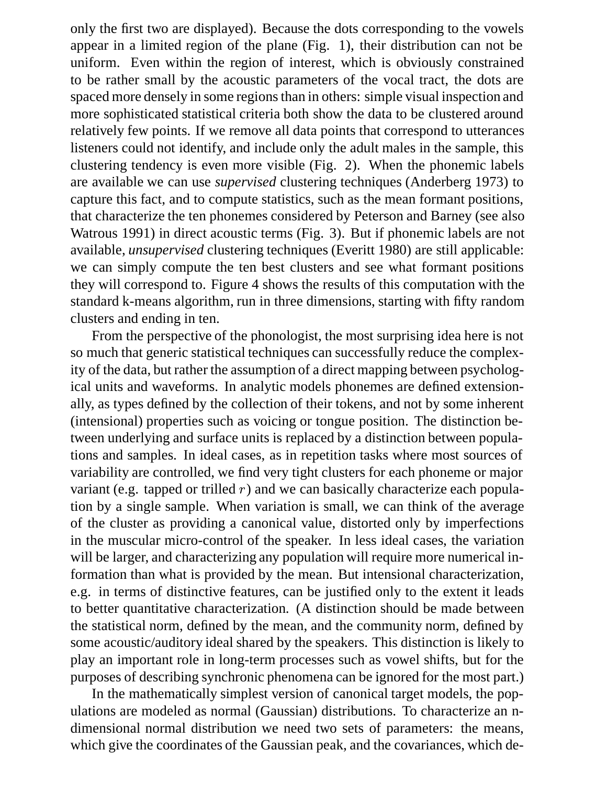only the first two are displayed). Because the dots corresponding to the vowels appear in a limited region of the plane (Fig. 1), their distribution can not be uniform. Even within the region of interest, which is obviously constrained to be rather small by the acoustic parameters of the vocal tract, the dots are spaced more densely in some regions than in others: simple visual inspection and more sophisticated statistical criteria both show the data to be clustered around relatively few points. If we remove all data points that correspond to utterances listeners could not identify, and include only the adult males in the sample, this clustering tendency is even more visible (Fig. 2). When the phonemic labels are available we can use *supervised* clustering techniques (Anderberg 1973) to capture this fact, and to compute statistics, such as the mean formant positions, that characterize the ten phonemes considered by Peterson and Barney (see also Watrous 1991) in direct acoustic terms (Fig. 3). But if phonemic labels are not available, *unsupervised* clustering techniques (Everitt 1980) are still applicable: we can simply compute the ten best clusters and see what formant positions they will correspond to. Figure 4 shows the results of this computation with the standard k-means algorithm, run in three dimensions, starting with fifty random clusters and ending in ten.

From the perspective of the phonologist, the most surprising idea here is not so much that generic statistical techniques can successfully reduce the complexity of the data, but rather the assumption of a direct mapping between psychological units and waveforms. In analytic models phonemes are defined extensionally, as types defined by the collection of their tokens, and not by some inherent (intensional) properties such as voicing or tongue position. The distinction between underlying and surface units is replaced by a distinction between populations and samples. In ideal cases, as in repetition tasks where most sources of variability are controlled, we find very tight clusters for each phoneme or major variant (e.g. tapped or trilled  $r$ ) and we can basically characterize each population by a single sample. When variation is small, we can think of the average of the cluster as providing a canonical value, distorted only by imperfections in the muscular micro-control of the speaker. In less ideal cases, the variation will be larger, and characterizing any population will require more numerical information than what is provided by the mean. But intensional characterization, e.g. in terms of distinctive features, can be justified only to the extent it leads to better quantitative characterization. (A distinction should be made between the statistical norm, defined by the mean, and the community norm, defined by some acoustic/auditory ideal shared by the speakers. This distinction is likely to play an important role in long-term processes such as vowel shifts, but for the purposes of describing synchronic phenomena can be ignored for the most part.)

In the mathematically simplest version of canonical target models, the populations are modeled as normal (Gaussian) distributions. To characterize an ndimensional normal distribution we need two sets of parameters: the means, which give the coordinates of the Gaussian peak, and the covariances, which de-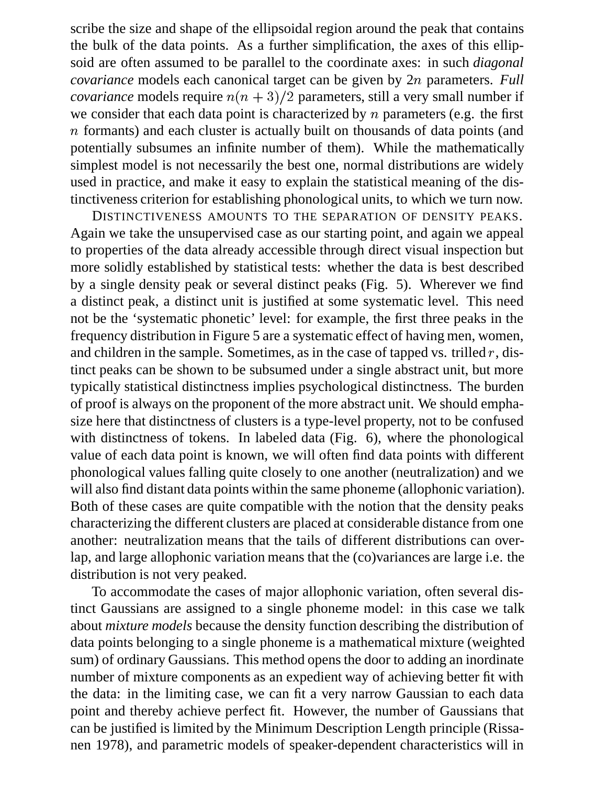scribe the size and shape of the ellipsoidal region around the peak that contains the bulk of the data points. As a further simplification, the axes of this ellipsoid are often assumed to be parallel to the coordinate axes: in such *diagonal covariance* models each canonical target can be given by 2n parameters. *Full covariance* models require  $n(n+3)/2$  parameters, still a very small number if we consider that each data point is characterized by  $n$  parameters (e.g. the first n formants) and each cluster is actually built on thousands of data points (and potentially subsumes an infinite number of them). While the mathematically simplest model is not necessarily the best one, normal distributions are widely used in practice, and make it easy to explain the statistical meaning of the distinctiveness criterion for establishing phonological units, to which we turn now.

DISTINCTIVENESS AMOUNTS TO THE SEPARATION OF DENSITY PEAKS. Again we take the unsupervised case as our starting point, and again we appeal to properties of the data already accessible through direct visual inspection but more solidly established by statistical tests: whether the data is best described by a single density peak or several distinct peaks (Fig. 5). Wherever we find a distinct peak, a distinct unit is justified at some systematic level. This need not be the 'systematic phonetic' level: for example, the first three peaks in the frequency distribution in Figure 5 are a systematic effect of having men, women, and children in the sample. Sometimes, as in the case of tapped vs. trilled  $r$ , distinct peaks can be shown to be subsumed under a single abstract unit, but more typically statistical distinctness implies psychological distinctness. The burden of proof is always on the proponent of the more abstract unit. We should emphasize here that distinctness of clusters is a type-level property, not to be confused with distinctness of tokens. In labeled data (Fig. 6), where the phonological value of each data point is known, we will often find data points with different phonological values falling quite closely to one another (neutralization) and we will also find distant data points within the same phoneme (allophonic variation). Both of these cases are quite compatible with the notion that the density peaks characterizing the different clusters are placed at considerable distance from one another: neutralization means that the tails of different distributions can overlap, and large allophonic variation means that the (co)variances are large i.e. the distribution is not very peaked.

To accommodate the cases of major allophonic variation, often several distinct Gaussians are assigned to a single phoneme model: in this case we talk about *mixture models* because the density function describing the distribution of data points belonging to a single phoneme is a mathematical mixture (weighted sum) of ordinary Gaussians. This method opens the door to adding an inordinate number of mixture components as an expedient way of achieving better fit with the data: in the limiting case, we can fit a very narrow Gaussian to each data point and thereby achieve perfect fit. However, the number of Gaussians that can be justified is limited by the Minimum Description Length principle (Rissanen 1978), and parametric models of speaker-dependent characteristics will in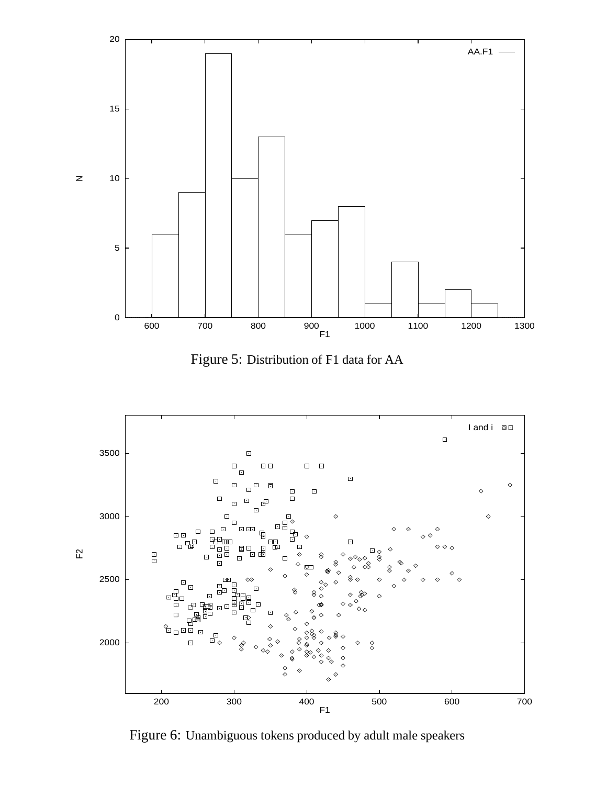

Figure 5: Distribution of F1 data for AA



Figure 6: Unambiguous tokens produced by adult male speakers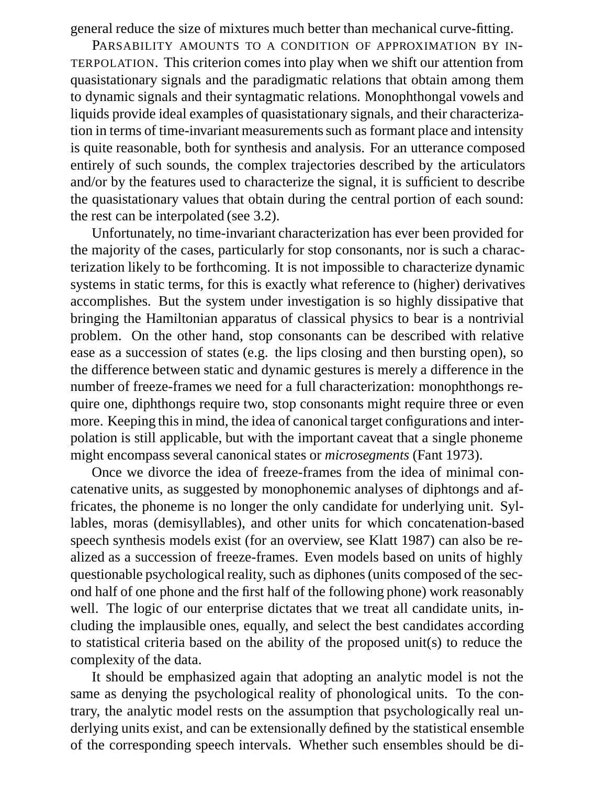general reduce the size of mixtures much better than mechanical curve-fitting.

PARSABILITY AMOUNTS TO A CONDITION OF APPROXIMATION BY IN-TERPOLATION. This criterion comes into play when we shift our attention from quasistationary signals and the paradigmatic relations that obtain among them to dynamic signals and their syntagmatic relations. Monophthongal vowels and liquids provide ideal examples of quasistationary signals, and their characterization in terms of time-invariant measurements such as formant place and intensity is quite reasonable, both for synthesis and analysis. For an utterance composed entirely of such sounds, the complex trajectories described by the articulators and/or by the features used to characterize the signal, it is sufficient to describe the quasistationary values that obtain during the central portion of each sound: the rest can be interpolated (see 3.2).

Unfortunately, no time-invariant characterization has ever been provided for the majority of the cases, particularly for stop consonants, nor is such a characterization likely to be forthcoming. It is not impossible to characterize dynamic systems in static terms, for this is exactly what reference to (higher) derivatives accomplishes. But the system under investigation is so highly dissipative that bringing the Hamiltonian apparatus of classical physics to bear is a nontrivial problem. On the other hand, stop consonants can be described with relative ease as a succession of states (e.g. the lips closing and then bursting open), so the difference between static and dynamic gestures is merely a difference in the number of freeze-frames we need for a full characterization: monophthongs require one, diphthongs require two, stop consonants might require three or even more. Keeping this in mind, the idea of canonical target configurations and interpolation is still applicable, but with the important caveat that a single phoneme might encompass several canonical states or *microsegments* (Fant 1973).

Once we divorce the idea of freeze-frames from the idea of minimal concatenative units, as suggested by monophonemic analyses of diphtongs and affricates, the phoneme is no longer the only candidate for underlying unit. Syllables, moras (demisyllables), and other units for which concatenation-based speech synthesis models exist (for an overview, see Klatt 1987) can also be realized as a succession of freeze-frames. Even models based on units of highly questionable psychological reality, such as diphones (units composed of the second half of one phone and the first half of the following phone) work reasonably well. The logic of our enterprise dictates that we treat all candidate units, including the implausible ones, equally, and select the best candidates according to statistical criteria based on the ability of the proposed unit(s) to reduce the complexity of the data.

It should be emphasized again that adopting an analytic model is not the same as denying the psychological reality of phonological units. To the contrary, the analytic model rests on the assumption that psychologically real underlying units exist, and can be extensionally defined by the statistical ensemble of the corresponding speech intervals. Whether such ensembles should be di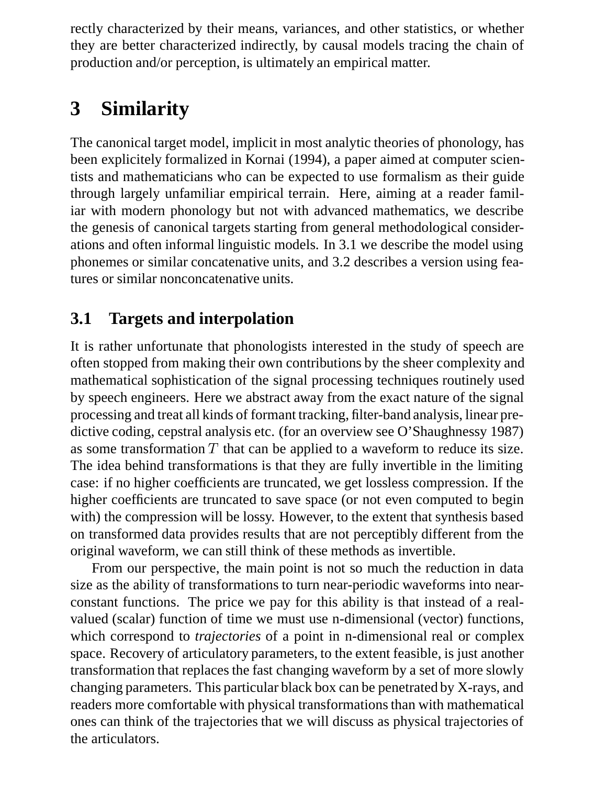rectly characterized by their means, variances, and other statistics, or whether they are better characterized indirectly, by causal models tracing the chain of production and/or perception, is ultimately an empirical matter.

# **3 Similarity**

The canonical target model, implicit in most analytic theories of phonology, has been explicitely formalized in Kornai (1994), a paper aimed at computer scientists and mathematicians who can be expected to use formalism as their guide through largely unfamiliar empirical terrain. Here, aiming at a reader familiar with modern phonology but not with advanced mathematics, we describe the genesis of canonical targets starting from general methodological considerations and often informal linguistic models. In 3.1 we describe the model using phonemes or similar concatenative units, and 3.2 describes a version using features or similar nonconcatenative units.

### **3.1 Targets and interpolation**

It is rather unfortunate that phonologists interested in the study of speech are often stopped from making their own contributions by the sheer complexity and mathematical sophistication of the signal processing techniques routinely used by speech engineers. Here we abstract away from the exact nature of the signal processing and treat all kinds of formant tracking, filter-band analysis, linear predictive coding, cepstral analysis etc. (for an overview see O'Shaughnessy 1987) as some transformation  $T$  that can be applied to a waveform to reduce its size. The idea behind transformations is that they are fully invertible in the limiting case: if no higher coefficients are truncated, we get lossless compression. If the higher coefficients are truncated to save space (or not even computed to begin with) the compression will be lossy. However, to the extent that synthesis based on transformed data provides results that are not perceptibly different from the original waveform, we can still think of these methods as invertible.

From our perspective, the main point is not so much the reduction in data size as the ability of transformations to turn near-periodic waveforms into nearconstant functions. The price we pay for this ability is that instead of a realvalued (scalar) function of time we must use n-dimensional (vector) functions, which correspond to *trajectories* of a point in n-dimensional real or complex space. Recovery of articulatory parameters, to the extent feasible, is just another transformation that replaces the fast changing waveform by a set of more slowly changing parameters. This particular black box can be penetrated by X-rays, and readers more comfortable with physical transformations than with mathematical ones can think of the trajectories that we will discuss as physical trajectories of the articulators.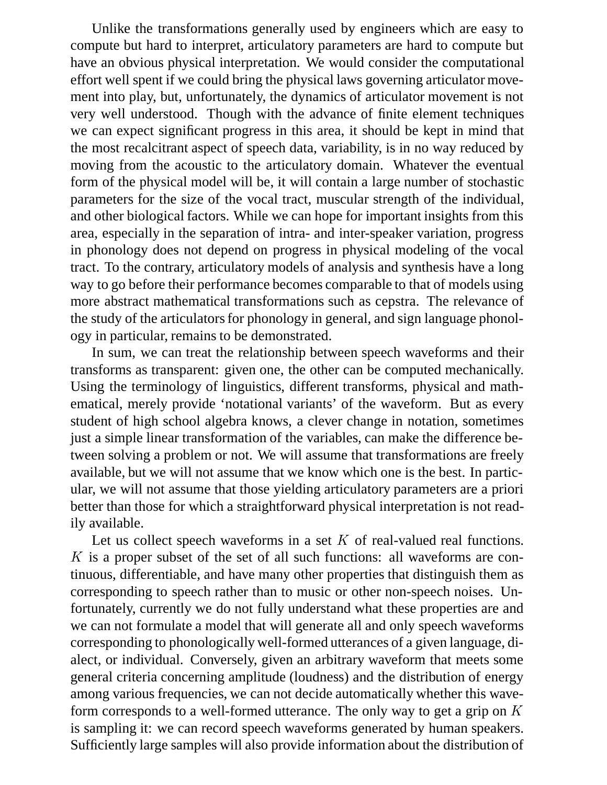Unlike the transformations generally used by engineers which are easy to compute but hard to interpret, articulatory parameters are hard to compute but have an obvious physical interpretation. We would consider the computational effort well spent if we could bring the physical laws governing articulator movement into play, but, unfortunately, the dynamics of articulator movement is not very well understood. Though with the advance of finite element techniques we can expect significant progress in this area, it should be kept in mind that the most recalcitrant aspect of speech data, variability, is in no way reduced by moving from the acoustic to the articulatory domain. Whatever the eventual form of the physical model will be, it will contain a large number of stochastic parameters for the size of the vocal tract, muscular strength of the individual, and other biological factors. While we can hope for important insights from this area, especially in the separation of intra- and inter-speaker variation, progress in phonology does not depend on progress in physical modeling of the vocal tract. To the contrary, articulatory models of analysis and synthesis have a long way to go before their performance becomes comparable to that of models using more abstract mathematical transformations such as cepstra. The relevance of the study of the articulators for phonology in general, and sign language phonology in particular, remains to be demonstrated.

In sum, we can treat the relationship between speech waveforms and their transforms as transparent: given one, the other can be computed mechanically. Using the terminology of linguistics, different transforms, physical and mathematical, merely provide 'notational variants' of the waveform. But as every student of high school algebra knows, a clever change in notation, sometimes just a simple linear transformation of the variables, can make the difference between solving a problem or not. We will assume that transformations are freely available, but we will not assume that we know which one is the best. In particular, we will not assume that those yielding articulatory parameters are a priori better than those for which a straightforward physical interpretation is not readily available.

Let us collect speech waveforms in a set  $K$  of real-valued real functions.  $K$  is a proper subset of the set of all such functions: all waveforms are continuous, differentiable, and have many other properties that distinguish them as corresponding to speech rather than to music or other non-speech noises. Unfortunately, currently we do not fully understand what these properties are and we can not formulate a model that will generate all and only speech waveforms corresponding to phonologically well-formed utterances of a given language, dialect, or individual. Conversely, given an arbitrary waveform that meets some general criteria concerning amplitude (loudness) and the distribution of energy among various frequencies, we can not decide automatically whether this waveform corresponds to a well-formed utterance. The only way to get a grip on  $K$ is sampling it: we can record speech waveforms generated by human speakers. Sufficiently large samples will also provide information about the distribution of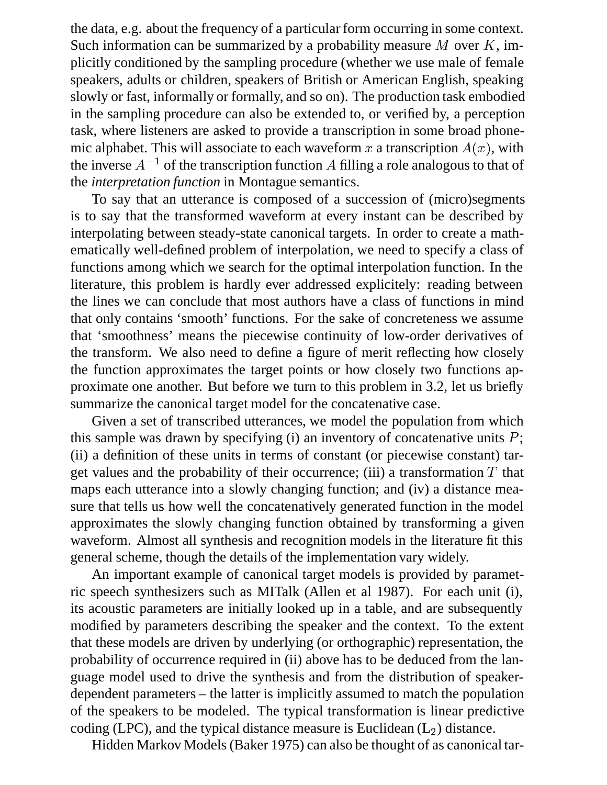the data, e.g. about the frequency of a particular form occurring in some context. Such information can be summarized by a probability measure  $M$  over  $K$ , implicitly conditioned by the sampling procedure (whether we use male of female speakers, adults or children, speakers of British or American English, speaking slowly or fast, informally or formally, and so on). The production task embodied in the sampling procedure can also be extended to, or verified by, a perception task, where listeners are asked to provide a transcription in some broad phonemic alphabet. This will associate to each waveform x a transcription  $A(x)$ , with the inverse  $A^{-1}$  of the transcription function A filling a role analogous to that of the *interpretation function* in Montague semantics.

To say that an utterance is composed of a succession of (micro)segments is to say that the transformed waveform at every instant can be described by interpolating between steady-state canonical targets. In order to create a mathematically well-defined problem of interpolation, we need to specify a class of functions among which we search for the optimal interpolation function. In the literature, this problem is hardly ever addressed explicitely: reading between the lines we can conclude that most authors have a class of functions in mind that only contains 'smooth' functions. For the sake of concreteness we assume that 'smoothness' means the piecewise continuity of low-order derivatives of the transform. We also need to define a figure of merit reflecting how closely the function approximates the target points or how closely two functions approximate one another. But before we turn to this problem in 3.2, let us briefly summarize the canonical target model for the concatenative case.

Given a set of transcribed utterances, we model the population from which this sample was drawn by specifying (i) an inventory of concatenative units  $P$ ; (ii) a definition of these units in terms of constant (or piecewise constant) target values and the probability of their occurrence; (iii) a transformation  $T$  that maps each utterance into a slowly changing function; and (iv) a distance measure that tells us how well the concatenatively generated function in the model approximates the slowly changing function obtained by transforming a given waveform. Almost all synthesis and recognition models in the literature fit this general scheme, though the details of the implementation vary widely.

An important example of canonical target models is provided by parametric speech synthesizers such as MITalk (Allen et al 1987). For each unit (i), its acoustic parameters are initially looked up in a table, and are subsequently modified by parameters describing the speaker and the context. To the extent that these models are driven by underlying (or orthographic) representation, the probability of occurrence required in (ii) above has to be deduced from the language model used to drive the synthesis and from the distribution of speakerdependent parameters – the latter is implicitly assumed to match the population of the speakers to be modeled. The typical transformation is linear predictive coding (LPC), and the typical distance measure is Euclidean  $(L_2)$  distance.

Hidden Markov Models (Baker 1975) can also be thought of as canonical tar-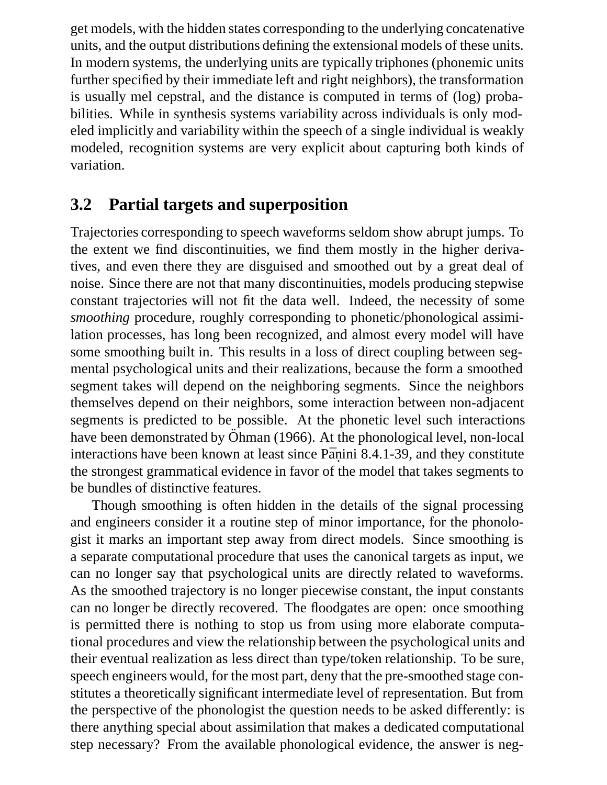get models, with the hidden states corresponding to the underlying concatenative units, and the output distributions defining the extensional models of these units. In modern systems, the underlying units are typically triphones (phonemic units further specified by their immediate left and right neighbors), the transformation is usually mel cepstral, and the distance is computed in terms of (log) probabilities. While in synthesis systems variability across individuals is only modeled implicitly and variability within the speech of a single individual is weakly modeled, recognition systems are very explicit about capturing both kinds of variation.

#### **3.2 Partial targets and superposition**

Trajectories corresponding to speech waveforms seldom show abrupt jumps. To the extent we find discontinuities, we find them mostly in the higher derivatives, and even there they are disguised and smoothed out by a great deal of noise. Since there are not that many discontinuities, models producing stepwise constant trajectories will not fit the data well. Indeed, the necessity of some *smoothing* procedure, roughly corresponding to phonetic/phonological assimilation processes, has long been recognized, and almost every model will have some smoothing built in. This results in a loss of direct coupling between segmental psychological units and their realizations, because the form a smoothed segment takes will depend on the neighboring segments. Since the neighbors themselves depend on their neighbors, some interaction between non-adjacent segments is predicted to be possible. At the phonetic level such interactions have been demonstrated by Öhman (1966). At the phonological level, non-local interactions have been known at least since Pānini 8.4.1-39, and they constitute the strongest grammatical evidence in favor of the model that takes segments to be bundles of distinctive features.

Though smoothing is often hidden in the details of the signal processing and engineers consider it a routine step of minor importance, for the phonologist it marks an important step away from direct models. Since smoothing is a separate computational procedure that uses the canonical targets as input, we can no longer say that psychological units are directly related to waveforms. As the smoothed trajectory is no longer piecewise constant, the input constants can no longer be directly recovered. The floodgates are open: once smoothing is permitted there is nothing to stop us from using more elaborate computational procedures and view the relationship between the psychological units and their eventual realization as less direct than type/token relationship. To be sure, speech engineers would, for the most part, deny that the pre-smoothed stage constitutes a theoretically significant intermediate level of representation. But from the perspective of the phonologist the question needs to be asked differently: is there anything special about assimilation that makes a dedicated computational step necessary? From the available phonological evidence, the answer is neg-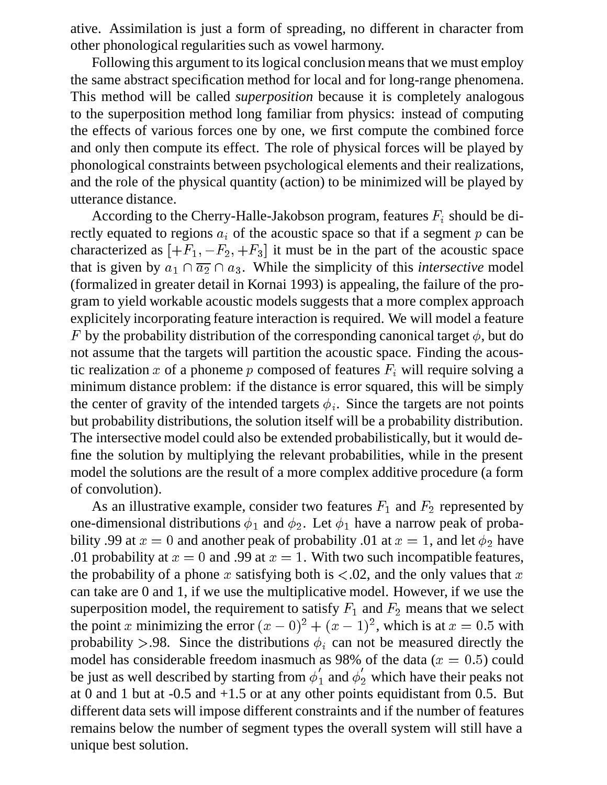ative. Assimilation is just a form of spreading, no different in character from other phonological regularities such as vowel harmony.

Following this argument to its logical conclusion means that we must employ the same abstract specification method for local and for long-range phenomena. This method will be called *superposition* because it is completely analogous to the superposition method long familiar from physics: instead of computing the effects of various forces one by one, we first compute the combined force and only then compute its effect. The role of physical forces will be played by phonological constraints between psychological elements and their realizations, and the role of the physical quantity (action) to be minimized will be played by utterance distance.

According to the Cherry-Halle-Jakobson program, features  $F_i$  should be directly equated to regions  $a_i$  of the acoustic space so that if a segment p can be characterized as  $[+F_1, -F_2, +F_3]$  it must be in the part of the acoustic space that is given by  $a_1 \cap \overline{a_2} \cap a_3$ . While the simplicity of this *intersective* model (formalized in greater detail in Kornai 1993) is appealing, the failure of the program to yield workable acoustic models suggests that a more complex approach explicitely incorporating feature interaction is required. We will model a feature F by the probability distribution of the corresponding canonical target  $\phi$ , but do not assume that the targets will partition the acoustic space. Finding the acoustic realization x of a phoneme p composed of features  $F_i$  will require solving a minimum distance problem: if the distance is error squared, this will be simply the center of gravity of the intended targets  $\phi_i$ . Since the targets are not points but probability distributions, the solution itself will be a probability distribution. The intersective model could also be extended probabilistically, but it would define the solution by multiplying the relevant probabilities, while in the present model the solutions are the result of a more complex additive procedure (a form of convolution).

As an illustrative example, consider two features  $F_1$  and  $F_2$  represented by one-dimensional distributions  $\phi_1$  and  $\phi_2$ . Let  $\phi_1$  have a narrow peak of probability .99 at  $x = 0$  and another peak of probability .01 at  $x = 1$ , and let  $\phi_2$  have .01 probability at  $x = 0$  and .99 at  $x = 1$ . With two such incompatible features, the probability of a phone x satisfying both is  $\langle .02 \rangle$ , and the only values that x can take are 0 and 1, if we use the multiplicative model. However, if we use the superposition model, the requirement to satisfy  $F_1$  and  $F_2$  means that we select the point x minimizing the error  $(x - 0)^2 + (x - 1)^2$ , which is at  $x = 0.5$  with probability >.98. Since the distributions  $\phi_i$  can not be measured directly the model has considerable freedom inasmuch as 98% of the data ( $x = 0.5$ ) could be just as well described by starting from  $\phi_1$  and  $\phi_2$  which have their peaks not at 0 and 1 but at  $-0.5$  and  $+1.5$  or at any other points equidistant from 0.5. But different data sets will impose different constraints and if the number of features remains below the number of segment types the overall system will still have a unique best solution.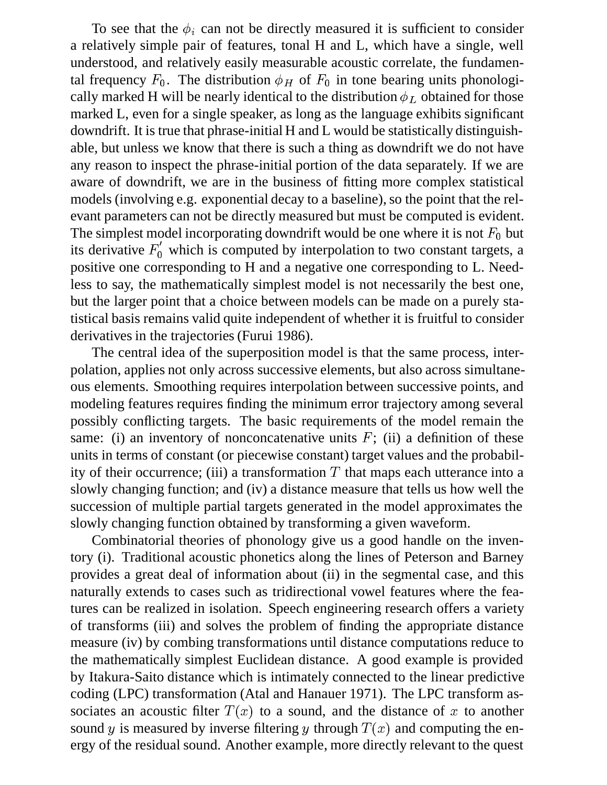To see that the  $\phi_i$  can not be directly measured it is sufficient to consider a relatively simple pair of features, tonal H and L, which have a single, well understood, and relatively easily measurable acoustic correlate, the fundamental frequency  $F_0$ . The distribution  $\phi_H$  of  $F_0$  in tone bearing units phonologically marked H will be nearly identical to the distribution  $\phi_L$  obtained for those marked L, even for a single speaker, as long as the language exhibits significant downdrift. It is true that phrase-initial H and L would be statistically distinguishable, but unless we know that there is such a thing as downdrift we do not have any reason to inspect the phrase-initial portion of the data separately. If we are aware of downdrift, we are in the business of fitting more complex statistical models (involving e.g. exponential decay to a baseline), so the point that the relevant parameters can not be directly measured but must be computed is evident. The simplest model incorporating downdrift would be one where it is not  $F_0$  but its derivative  $F_0$  which is computed by interpolation to two constant targets, a positive one corresponding to H and a negative one corresponding to L. Needless to say, the mathematically simplest model is not necessarily the best one, but the larger point that a choice between models can be made on a purely statistical basis remains valid quite independent of whether it is fruitful to consider derivatives in the trajectories (Furui 1986).

The central idea of the superposition model is that the same process, interpolation, applies not only across successive elements, but also across simultaneous elements. Smoothing requires interpolation between successive points, and modeling features requires finding the minimum error trajectory among several possibly conflicting targets. The basic requirements of the model remain the same: (i) an inventory of nonconcatenative units  $F$ ; (ii) a definition of these units in terms of constant (or piecewise constant) target values and the probability of their occurrence; (iii) a transformation  $T$  that maps each utterance into a slowly changing function; and (iv) a distance measure that tells us how well the succession of multiple partial targets generated in the model approximates the slowly changing function obtained by transforming a given waveform.

Combinatorial theories of phonology give us a good handle on the inventory (i). Traditional acoustic phonetics along the lines of Peterson and Barney provides a great deal of information about (ii) in the segmental case, and this naturally extends to cases such as tridirectional vowel features where the features can be realized in isolation. Speech engineering research offers a variety of transforms (iii) and solves the problem of finding the appropriate distance measure (iv) by combing transformations until distance computations reduce to the mathematically simplest Euclidean distance. A good example is provided by Itakura-Saito distance which is intimately connected to the linear predictive coding (LPC) transformation (Atal and Hanauer 1971). The LPC transform associates an acoustic filter  $T(x)$  to a sound, and the distance of x to another sound y is measured by inverse filtering y through  $T(x)$  and computing the energy of the residual sound. Another example, more directly relevant to the quest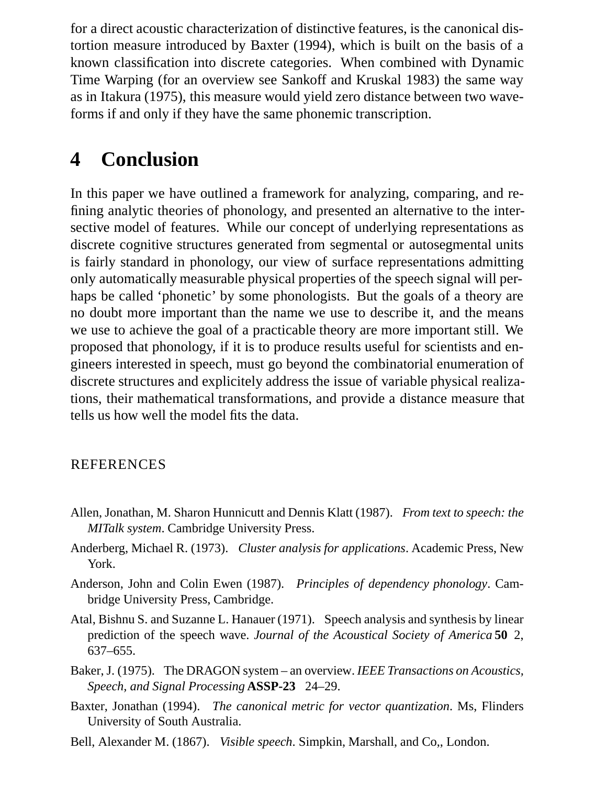for a direct acoustic characterization of distinctive features, is the canonical distortion measure introduced by Baxter (1994), which is built on the basis of a known classification into discrete categories. When combined with Dynamic Time Warping (for an overview see Sankoff and Kruskal 1983) the same way as in Itakura (1975), this measure would yield zero distance between two waveforms if and only if they have the same phonemic transcription.

# **4 Conclusion**

In this paper we have outlined a framework for analyzing, comparing, and refining analytic theories of phonology, and presented an alternative to the intersective model of features. While our concept of underlying representations as discrete cognitive structures generated from segmental or autosegmental units is fairly standard in phonology, our view of surface representations admitting only automatically measurable physical properties of the speech signal will perhaps be called 'phonetic' by some phonologists. But the goals of a theory are no doubt more important than the name we use to describe it, and the means we use to achieve the goal of a practicable theory are more important still. We proposed that phonology, if it is to produce results useful for scientists and engineers interested in speech, must go beyond the combinatorial enumeration of discrete structures and explicitely address the issue of variable physical realizations, their mathematical transformations, and provide a distance measure that tells us how well the model fits the data.

#### REFERENCES

- Allen, Jonathan, M. Sharon Hunnicutt and Dennis Klatt (1987). *From text to speech: the MITalk system*. Cambridge University Press.
- Anderberg, Michael R. (1973). *Cluster analysis for applications*. Academic Press, New York.
- Anderson, John and Colin Ewen (1987). *Principles of dependency phonology*. Cambridge University Press, Cambridge.
- Atal, Bishnu S. and Suzanne L. Hanauer (1971). Speech analysis and synthesis by linear prediction of the speech wave. *Journal of the Acoustical Society of America* **50** 2, 637–655.
- Baker, J. (1975). The DRAGON system an overview. *IEEE Transactions on Acoustics, Speech, and Signal Processing* **ASSP-23** 24–29.
- Baxter, Jonathan (1994). *The canonical metric for vector quantization*. Ms, Flinders University of South Australia.
- Bell, Alexander M. (1867). *Visible speech*. Simpkin, Marshall, and Co,, London.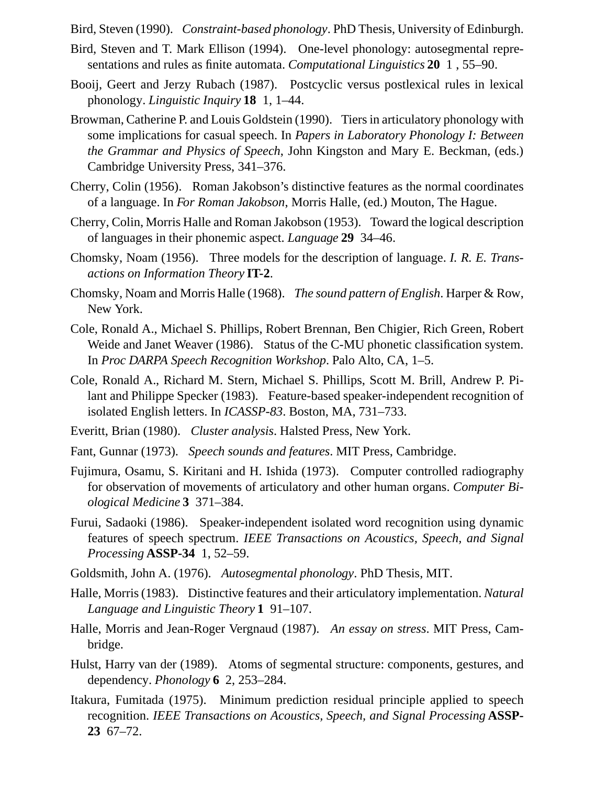Bird, Steven (1990). *Constraint-based phonology*. PhD Thesis, University of Edinburgh.

- Bird, Steven and T. Mark Ellison (1994). One-level phonology: autosegmental representations and rules as finite automata. *Computational Linguistics* **20** 1 , 55–90.
- Booij, Geert and Jerzy Rubach (1987). Postcyclic versus postlexical rules in lexical phonology. *Linguistic Inquiry* **18** 1, 1–44.
- Browman, Catherine P. and Louis Goldstein (1990). Tiers in articulatory phonology with some implications for casual speech. In *Papers in Laboratory Phonology I: Between the Grammar and Physics of Speech*, John Kingston and Mary E. Beckman, (eds.) Cambridge University Press, 341–376.
- Cherry, Colin (1956). Roman Jakobson's distinctive features as the normal coordinates of a language. In *For Roman Jakobson*, Morris Halle, (ed.) Mouton, The Hague.
- Cherry, Colin, Morris Halle and Roman Jakobson (1953). Toward the logical description of languages in their phonemic aspect. *Language* **29** 34–46.
- Chomsky, Noam (1956). Three models for the description of language. *I. R. E. Transactions on Information Theory* **IT-2**.
- Chomsky, Noam and Morris Halle (1968). *The sound pattern of English*. Harper & Row, New York.
- Cole, Ronald A., Michael S. Phillips, Robert Brennan, Ben Chigier, Rich Green, Robert Weide and Janet Weaver (1986). Status of the C-MU phonetic classification system. In *Proc DARPA Speech Recognition Workshop*. Palo Alto, CA, 1–5.
- Cole, Ronald A., Richard M. Stern, Michael S. Phillips, Scott M. Brill, Andrew P. Pilant and Philippe Specker (1983). Feature-based speaker-independent recognition of isolated English letters. In *ICASSP-83*. Boston, MA, 731–733.
- Everitt, Brian (1980). *Cluster analysis*. Halsted Press, New York.
- Fant, Gunnar (1973). *Speech sounds and features*. MIT Press, Cambridge.
- Fujimura, Osamu, S. Kiritani and H. Ishida (1973). Computer controlled radiography for observation of movements of articulatory and other human organs. *Computer Biological Medicine* **3** 371–384.
- Furui, Sadaoki (1986). Speaker-independent isolated word recognition using dynamic features of speech spectrum. *IEEE Transactions on Acoustics, Speech, and Signal Processing* **ASSP-34** 1, 52–59.
- Goldsmith, John A. (1976). *Autosegmental phonology*. PhD Thesis, MIT.
- Halle, Morris (1983). Distinctive features and their articulatory implementation. *Natural Language and Linguistic Theory* **1** 91–107.
- Halle, Morris and Jean-Roger Vergnaud (1987). *An essay on stress*. MIT Press, Cambridge.
- Hulst, Harry van der (1989). Atoms of segmental structure: components, gestures, and dependency. *Phonology* **6** 2, 253–284.
- Itakura, Fumitada (1975). Minimum prediction residual principle applied to speech recognition. *IEEE Transactions on Acoustics, Speech, and Signal Processing* **ASSP-23** 67–72.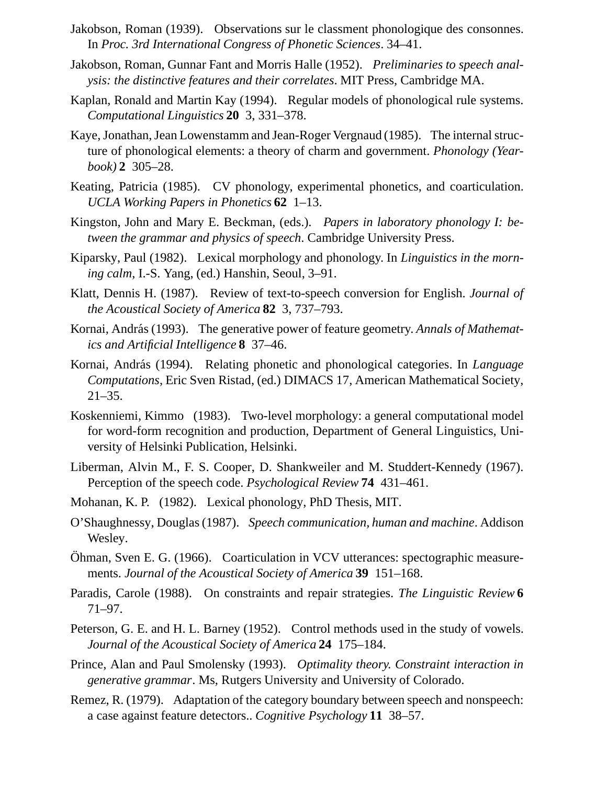- Jakobson, Roman (1939). Observations sur le classment phonologique des consonnes. In *Proc. 3rd International Congress of Phonetic Sciences*. 34–41.
- Jakobson, Roman, Gunnar Fant and Morris Halle (1952). *Preliminaries to speech analysis: the distinctive features and their correlates*. MIT Press, Cambridge MA.
- Kaplan, Ronald and Martin Kay (1994). Regular models of phonological rule systems. *Computational Linguistics* **20** 3, 331–378.
- Kaye, Jonathan, Jean Lowenstamm and Jean-Roger Vergnaud (1985). The internal structure of phonological elements: a theory of charm and government. *Phonology (Yearbook)* **2** 305–28.
- Keating, Patricia (1985). CV phonology, experimental phonetics, and coarticulation. *UCLA Working Papers in Phonetics* **62** 1–13.
- Kingston, John and Mary E. Beckman, (eds.). *Papers in laboratory phonology I: between the grammar and physics of speech*. Cambridge University Press.
- Kiparsky, Paul (1982). Lexical morphology and phonology. In *Linguistics in the morning calm*, I.-S. Yang, (ed.) Hanshin, Seoul, 3–91.
- Klatt, Dennis H. (1987). Review of text-to-speech conversion for English. *Journal of the Acoustical Society of America* **82** 3, 737–793.
- Kornai, András (1993). The generative power of feature geometry. *Annals of Mathematics and Artificial Intelligence* **8** 37–46.
- Kornai, András (1994). Relating phonetic and phonological categories. In *Language Computations*, Eric Sven Ristad, (ed.) DIMACS 17, American Mathematical Society, 21–35.
- Koskenniemi, Kimmo (1983). Two-level morphology: a general computational model for word-form recognition and production, Department of General Linguistics, University of Helsinki Publication, Helsinki.
- Liberman, Alvin M., F. S. Cooper, D. Shankweiler and M. Studdert-Kennedy (1967). Perception of the speech code. *Psychological Review* **74** 431–461.
- Mohanan, K. P. (1982). Lexical phonology, PhD Thesis, MIT.
- O'Shaughnessy, Douglas (1987). *Speech communication, human and machine*. Addison Wesley.
- Ohman, Sven E. G. (1966). Coarticulation in VCV utterances: spectographic measure- ¨ ments. *Journal of the Acoustical Society of America* **39** 151–168.
- Paradis, Carole (1988). On constraints and repair strategies. *The Linguistic Review* **6** 71–97.
- Peterson, G. E. and H. L. Barney (1952). Control methods used in the study of vowels. *Journal of the Acoustical Society of America* **24** 175–184.
- Prince, Alan and Paul Smolensky (1993). *Optimality theory. Constraint interaction in generative grammar*. Ms, Rutgers University and University of Colorado.
- Remez, R. (1979). Adaptation of the category boundary between speech and nonspeech: a case against feature detectors.. *Cognitive Psychology* **11** 38–57.